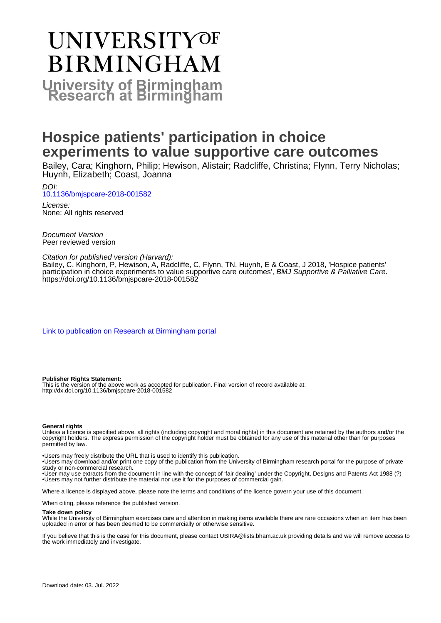# UNIVERSITYOF **BIRMINGHAM University of Birmingham**

# **Hospice patients' participation in choice experiments to value supportive care outcomes**

Bailey, Cara; Kinghorn, Philip; Hewison, Alistair; Radcliffe, Christina; Flynn, Terry Nicholas; Huynh, Elizabeth; Coast, Joanna

DOI: [10.1136/bmjspcare-2018-001582](https://doi.org/10.1136/bmjspcare-2018-001582)

License: None: All rights reserved

Document Version Peer reviewed version

#### Citation for published version (Harvard):

Bailey, C, Kinghorn, P, Hewison, A, Radcliffe, C, Flynn, TN, Huynh, E & Coast, J 2018, 'Hospice patients' participation in choice experiments to value supportive care outcomes', BMJ Supportive & Palliative Care. <https://doi.org/10.1136/bmjspcare-2018-001582>

[Link to publication on Research at Birmingham portal](https://birmingham.elsevierpure.com/en/publications/ccc71b4e-c06f-4036-bfc7-908d61711cc2)

#### **Publisher Rights Statement:**

This is the version of the above work as accepted for publication. Final version of record available at: http://dx.doi.org/10.1136/bmjspcare-2018-001582

#### **General rights**

Unless a licence is specified above, all rights (including copyright and moral rights) in this document are retained by the authors and/or the copyright holders. The express permission of the copyright holder must be obtained for any use of this material other than for purposes permitted by law.

• Users may freely distribute the URL that is used to identify this publication.

• Users may download and/or print one copy of the publication from the University of Birmingham research portal for the purpose of private study or non-commercial research.

• User may use extracts from the document in line with the concept of 'fair dealing' under the Copyright, Designs and Patents Act 1988 (?) • Users may not further distribute the material nor use it for the purposes of commercial gain.

Where a licence is displayed above, please note the terms and conditions of the licence govern your use of this document.

When citing, please reference the published version.

#### **Take down policy**

While the University of Birmingham exercises care and attention in making items available there are rare occasions when an item has been uploaded in error or has been deemed to be commercially or otherwise sensitive.

If you believe that this is the case for this document, please contact UBIRA@lists.bham.ac.uk providing details and we will remove access to the work immediately and investigate.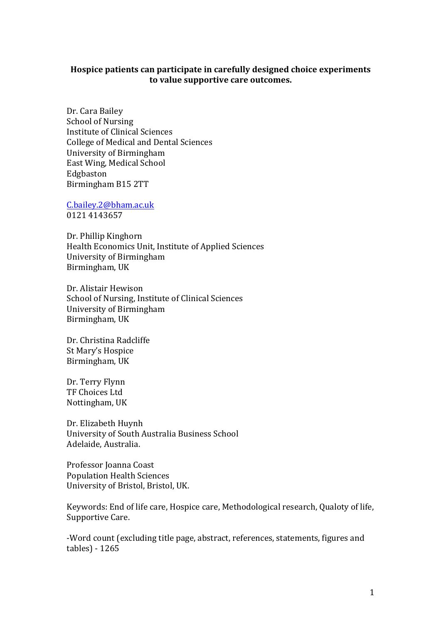#### Hospice patients can participate in carefully designed choice experiments to value supportive care outcomes.

Dr. Cara Bailey School of Nursing Institute of Clinical Sciences College of Medical and Dental Sciences University of Birmingham East Wing, Medical School Edgbaston Birmingham B15 2TT

C.bailey.2@bham.ac.uk 0121 4143657 

Dr. Phillip Kinghorn Health Economics Unit, Institute of Applied Sciences University of Birmingham Birmingham, UK

Dr. Alistair Hewison School of Nursing, Institute of Clinical Sciences University of Birmingham Birmingham, UK

Dr. Christina Radcliffe St Mary's Hospice Birmingham, UK

Dr. Terry Flynn TF Choices Ltd Nottingham, UK

Dr. Elizabeth Huynh University of South Australia Business School Adelaide, Australia.

Professor Joanna Coast Population Health Sciences University of Bristol, Bristol, UK.

Keywords: End of life care, Hospice care, Methodological research, Qualoty of life, Supportive Care.

-Word count (excluding title page, abstract, references, statements, figures and tables) - 1265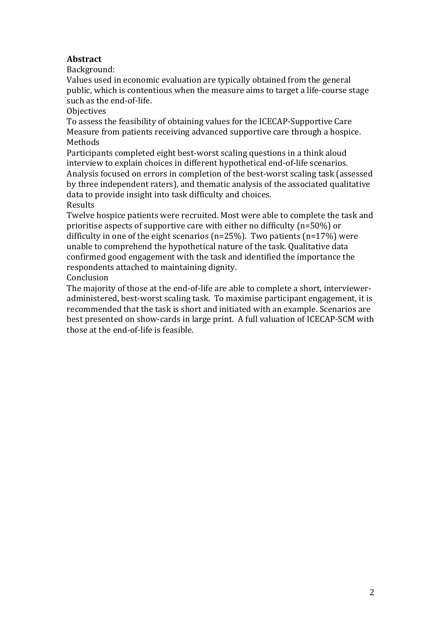## **Abstract**

Background: 

Values used in economic evaluation are typically obtained from the general public, which is contentious when the measure aims to target a life-course stage such as the end-of-life.

**Objectives** 

To assess the feasibility of obtaining values for the ICECAP-Supportive Care Measure from patients receiving advanced supportive care through a hospice. Methods 

Participants completed eight best-worst scaling questions in a think aloud interview to explain choices in different hypothetical end-of-life scenarios. Analysis focused on errors in completion of the best-worst scaling task (assessed by three independent raters), and thematic analysis of the associated qualitative data to provide insight into task difficulty and choices.

Results 

Twelve hospice patients were recruited. Most were able to complete the task and prioritise aspects of supportive care with either no difficulty (n=50%) or difficulty in one of the eight scenarios (n=25%). Two patients (n=17%) were unable to comprehend the hypothetical nature of the task. Qualitative data confirmed good engagement with the task and identified the importance the respondents attached to maintaining dignity.

Conclusion 

The majority of those at the end-of-life are able to complete a short, intervieweradministered, best-worst scaling task. To maximise participant engagement, it is recommended that the task is short and initiated with an example. Scenarios are best presented on show-cards in large print. A full valuation of ICECAP-SCM with those at the end-of-life is feasible.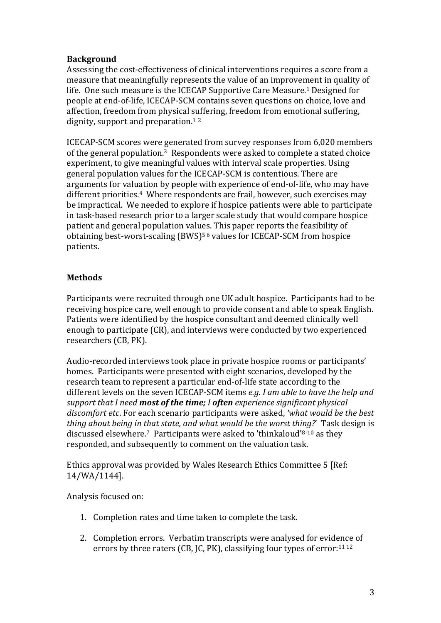## **Background**

Assessing the cost-effectiveness of clinical interventions requires a score from a measure that meaningfully represents the value of an improvement in quality of life. One such measure is the ICECAP Supportive Care Measure.<sup>1</sup> Designed for people at end-of-life, ICECAP-SCM contains seven questions on choice, love and affection, freedom from physical suffering, freedom from emotional suffering, dignity, support and preparation.<sup>12</sup>

ICECAP-SCM scores were generated from survey responses from 6,020 members of the general population.<sup>3</sup> Respondents were asked to complete a stated choice experiment, to give meaningful values with interval scale properties. Using general population values for the ICECAP-SCM is contentious. There are arguments for valuation by people with experience of end-of-life, who may have different priorities.<sup>4</sup> Where respondents are frail, however, such exercises may be impractical. We needed to explore if hospice patients were able to participate in task-based research prior to a larger scale study that would compare hospice patient and general population values. This paper reports the feasibility of obtaining best-worst-scaling  $(BWS)^{56}$  values for ICECAP-SCM from hospice patients.

## **Methods**

Participants were recruited through one UK adult hospice. Participants had to be receiving hospice care, well enough to provide consent and able to speak English. Patients were identified by the hospice consultant and deemed clinically well enough to participate (CR), and interviews were conducted by two experienced researchers (CB, PK).

Audio-recorded interviews took place in private hospice rooms or participants' homes. Participants were presented with eight scenarios, developed by the research team to represent a particular end-of-life state according to the different levels on the seven ICECAP-SCM items *e.g. I am able to have the help and support that I need most of the time; I often experience significant physical* discomfort etc. For each scenario participants were asked, 'what would be the best *thing about being in that state, and what would be the worst thing?*' Task design is discussed elsewhere.<sup>7</sup> Participants were asked to 'thinkaloud'<sup>8-10</sup> as they responded, and subsequently to comment on the valuation task.

Ethics approval was provided by Wales Research Ethics Committee 5 [Ref: 14/WA/1144].

Analysis focused on:

- 1. Completion rates and time taken to complete the task.
- 2. Completion errors. Verbatim transcripts were analysed for evidence of errors by three raters  $(CB, IC, PK)$ , classifying four types of error:<sup>11 12</sup>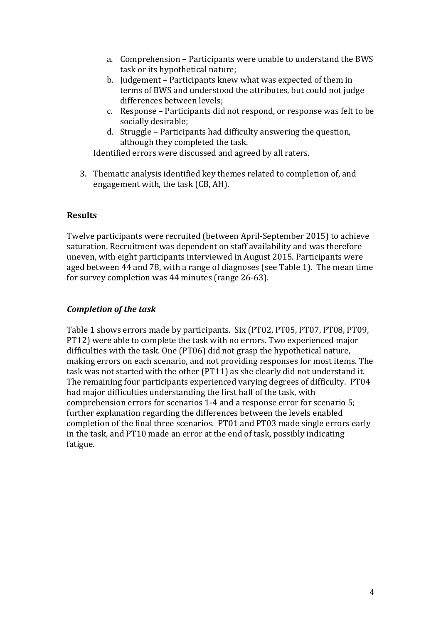- a. Comprehension Participants were unable to understand the BWS task or its hypothetical nature;
- b. Judgement Participants knew what was expected of them in terms of BWS and understood the attributes, but could not judge differences between levels;
- c. Response Participants did not respond, or response was felt to be socially desirable;
- d. Struggle Participants had difficulty answering the question, although they completed the task.

Identified errors were discussed and agreed by all raters.

3. Thematic analysis identified key themes related to completion of, and engagement with, the task (CB, AH).

#### **Results**

Twelve participants were recruited (between April-September 2015) to achieve saturation. Recruitment was dependent on staff availability and was therefore uneven, with eight participants interviewed in August 2015. Participants were aged between 44 and 78, with a range of diagnoses (see Table 1). The mean time for survey completion was  $44$  minutes (range  $26-63$ ).

#### *Completion of the task*

Table 1 shows errors made by participants. Six (PT02, PT05, PT07, PT08, PT09, PT12) were able to complete the task with no errors. Two experienced major difficulties with the task. One (PT06) did not grasp the hypothetical nature, making errors on each scenario, and not providing responses for most items. The task was not started with the other (PT11) as she clearly did not understand it. The remaining four participants experienced varying degrees of difficulty. PT04 had major difficulties understanding the first half of the task, with comprehension errors for scenarios 1-4 and a response error for scenario 5; further explanation regarding the differences between the levels enabled completion of the final three scenarios. PT01 and PT03 made single errors early in the task, and PT10 made an error at the end of task, possibly indicating fatigue.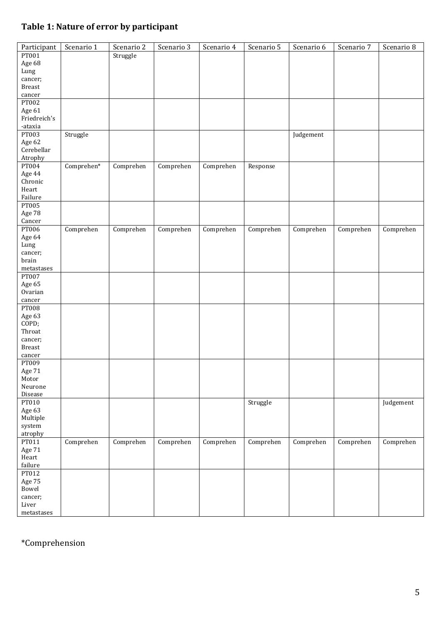## **Table 1: Nature of error by participant**

| Participant              | Scenario 1 | Scenario 2 | Scenario 3 | Scenario 4 | Scenario 5 | Scenario 6 | Scenario 7 | Scenario 8 |
|--------------------------|------------|------------|------------|------------|------------|------------|------------|------------|
| PT001                    |            | Struggle   |            |            |            |            |            |            |
| Age 68                   |            |            |            |            |            |            |            |            |
| Lung                     |            |            |            |            |            |            |            |            |
| cancer;<br><b>Breast</b> |            |            |            |            |            |            |            |            |
| cancer                   |            |            |            |            |            |            |            |            |
| <b>PT002</b>             |            |            |            |            |            |            |            |            |
| Age 61                   |            |            |            |            |            |            |            |            |
| Friedreich's             |            |            |            |            |            |            |            |            |
| -ataxia                  |            |            |            |            |            |            |            |            |
| PT003                    | Struggle   |            |            |            |            | Judgement  |            |            |
| Age 62                   |            |            |            |            |            |            |            |            |
| Cerebellar               |            |            |            |            |            |            |            |            |
| Atrophy<br>PT004         | Comprehen* | Comprehen  |            |            |            |            |            |            |
| Age 44                   |            |            | Comprehen  | Comprehen  | Response   |            |            |            |
| Chronic                  |            |            |            |            |            |            |            |            |
| Heart                    |            |            |            |            |            |            |            |            |
| Failure                  |            |            |            |            |            |            |            |            |
| PT005                    |            |            |            |            |            |            |            |            |
| Age 78                   |            |            |            |            |            |            |            |            |
| Cancer                   |            |            |            |            |            |            |            |            |
| PT006                    | Comprehen  | Comprehen  | Comprehen  | Comprehen  | Comprehen  | Comprehen  | Comprehen  | Comprehen  |
| Age 64                   |            |            |            |            |            |            |            |            |
| Lung<br>cancer;          |            |            |            |            |            |            |            |            |
| brain                    |            |            |            |            |            |            |            |            |
| $metastases$             |            |            |            |            |            |            |            |            |
| PT007                    |            |            |            |            |            |            |            |            |
| Age 65                   |            |            |            |            |            |            |            |            |
| Ovarian                  |            |            |            |            |            |            |            |            |
| cancer                   |            |            |            |            |            |            |            |            |
| <b>PT008</b>             |            |            |            |            |            |            |            |            |
| Age 63<br>COPD;          |            |            |            |            |            |            |            |            |
| Throat                   |            |            |            |            |            |            |            |            |
| cancer;                  |            |            |            |            |            |            |            |            |
| <b>Breast</b>            |            |            |            |            |            |            |            |            |
| cancer                   |            |            |            |            |            |            |            |            |
| PT009                    |            |            |            |            |            |            |            |            |
| Age 71                   |            |            |            |            |            |            |            |            |
| Motor                    |            |            |            |            |            |            |            |            |
| Neurone<br>Disease       |            |            |            |            |            |            |            |            |
| PT010                    |            |            |            |            | Struggle   |            |            | Judgement  |
| Age 63                   |            |            |            |            |            |            |            |            |
| Multiple                 |            |            |            |            |            |            |            |            |
| system                   |            |            |            |            |            |            |            |            |
| atrophy                  |            |            |            |            |            |            |            |            |
| PT011                    | Comprehen  | Comprehen  | Comprehen  | Comprehen  | Comprehen  | Comprehen  | Comprehen  | Comprehen  |
| Age 71                   |            |            |            |            |            |            |            |            |
| Heart                    |            |            |            |            |            |            |            |            |
| failure<br>PT012         |            |            |            |            |            |            |            |            |
| Age 75                   |            |            |            |            |            |            |            |            |
| Bowel                    |            |            |            |            |            |            |            |            |
| cancer;                  |            |            |            |            |            |            |            |            |
| Liver                    |            |            |            |            |            |            |            |            |
| $metastases$             |            |            |            |            |            |            |            |            |

# \*Comprehension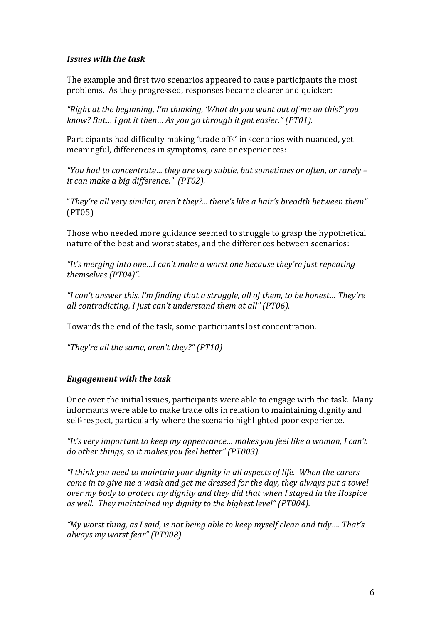#### *Issues with the task*

The example and first two scenarios appeared to cause participants the most problems. As they progressed, responses became clearer and quicker:

"Right at the beginning, I'm thinking, 'What do you want out of me on this?' you *know?* But... I got it then... As you go through it got easier." (PT01).

Participants had difficulty making 'trade offs' in scenarios with nuanced, yet meaningful, differences in symptoms, care or experiences:

*"You had to concentrate… they are very subtle, but sometimes or often, or rarely – it can make a big difference." (PT02).* 

"*They're all very similar, aren't they?... there's like a hair's breadth between them"* (PT05)

Those who needed more guidance seemed to struggle to grasp the hypothetical nature of the best and worst states, and the differences between scenarios:

"It's merging into one...I can't make a worst one because they're just repeating *themselves (PT04)".*

*"I can't answer this, I'm finding that a struggle, all of them, to be honest… They're all contradicting, I just can't understand them at all" (PT06).* 

Towards the end of the task, some participants lost concentration.

*"They're all the same, aren't they?" (PT10)*

#### *Engagement with the task*

Once over the initial issues, participants were able to engage with the task. Many informants were able to make trade offs in relation to maintaining dignity and self-respect, particularly where the scenario highlighted poor experience.

*"It's very important to keep my appearance… makes you feel like a woman, I can't*  do other things, so it makes you feel better" (PT003).

"I think you need to maintain your dignity in all aspects of life. When the carers *come in to give me a wash and get me dressed for the day, they always put a towel over* my body to protect my dignity and they did that when I stayed in the Hospice *as* well. They maintained my dignity to the highest level" (PT004).

"My worst thing, as I said, is not being able to keep myself clean and tidy.... That's *always my worst fear" (PT008).*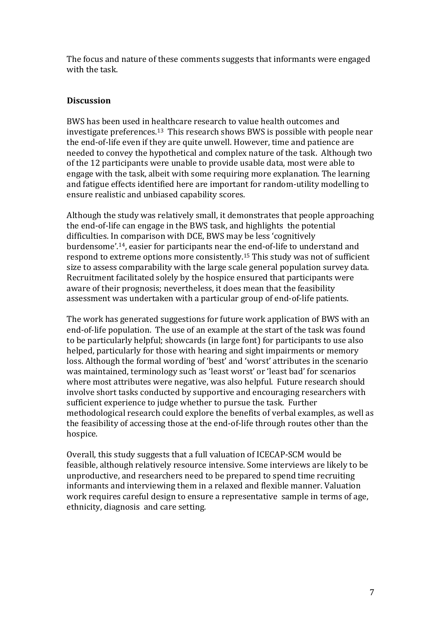The focus and nature of these comments suggests that informants were engaged with the task.

#### **Discussion**

BWS has been used in healthcare research to value health outcomes and investigate preferences.<sup>13</sup> This research shows BWS is possible with people near the end-of-life even if they are quite unwell. However, time and patience are needed to convey the hypothetical and complex nature of the task. Although two of the 12 participants were unable to provide usable data, most were able to engage with the task, albeit with some requiring more explanation. The learning and fatigue effects identified here are important for random-utility modelling to ensure realistic and unbiased capability scores.

Although the study was relatively small, it demonstrates that people approaching the end-of-life can engage in the BWS task, and highlights the potential difficulties. In comparison with DCE, BWS may be less 'cognitively burdensome'.<sup>14</sup>, easier for participants near the end-of-life to understand and respond to extreme options more consistently.<sup>15</sup> This study was not of sufficient size to assess comparability with the large scale general population survey data. Recruitment facilitated solely by the hospice ensured that participants were aware of their prognosis; nevertheless, it does mean that the feasibility assessment was undertaken with a particular group of end-of-life patients.

The work has generated suggestions for future work application of BWS with an end-of-life population. The use of an example at the start of the task was found to be particularly helpful; showcards (in large font) for participants to use also helped, particularly for those with hearing and sight impairments or memory loss. Although the formal wording of 'best' and 'worst' attributes in the scenario was maintained, terminology such as 'least worst' or 'least bad' for scenarios where most attributes were negative, was also helpful. Future research should involve short tasks conducted by supportive and encouraging researchers with sufficient experience to judge whether to pursue the task. Further methodological research could explore the benefits of verbal examples, as well as the feasibility of accessing those at the end-of-life through routes other than the hospice. 

Overall, this study suggests that a full valuation of ICECAP-SCM would be feasible, although relatively resource intensive. Some interviews are likely to be unproductive, and researchers need to be prepared to spend time recruiting informants and interviewing them in a relaxed and flexible manner. Valuation work requires careful design to ensure a representative sample in terms of age, ethnicity, diagnosis and care setting.